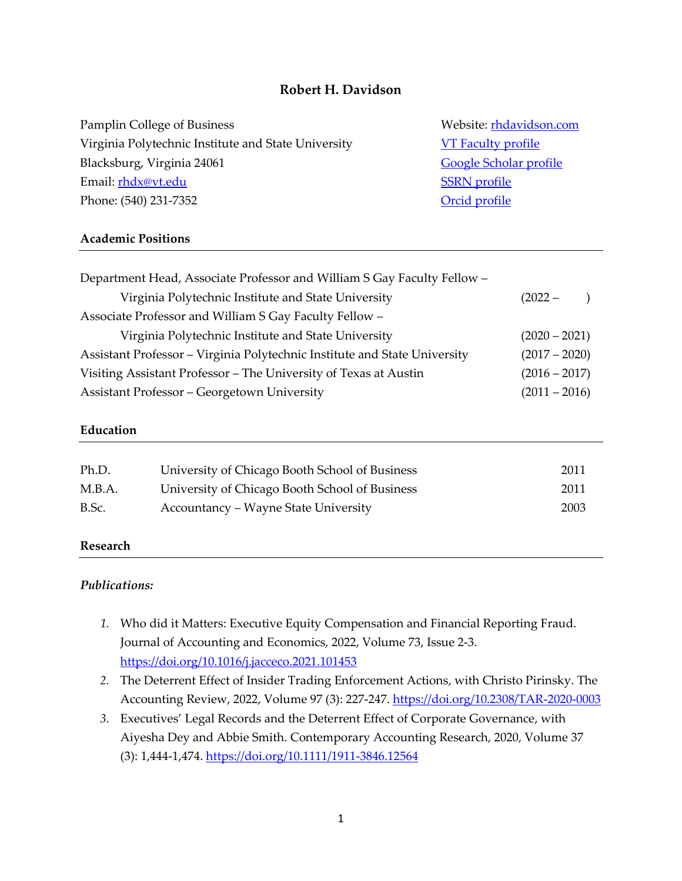# **Robert H. Davidson**

Pamplin College of Business Website[: rhdavidson.com](http://rhdavidson.com/) Virginia Polytechnic Institute and State University [VT Faculty profile](https://acis.pamplin.vt.edu/directory/robert-davidson.html) Blacksburg, Virginia 24061 [Google Scholar profile](https://scholar.google.com/citations?user=3VLv0McAAAAJ&hl=en) Email: **rhdx@vt.edu** [SSRN profile](https://papers.ssrn.com/sol3/cf_dev/AbsByAuth.cfm?per_id=1779360) Phone: (540) 231-7352 Creater and The Contract of Creater and The Creater and The Creater and The Creater and The Creater and The Creater and The Creater and The Creater and The Creater and The Creater and The Creater and

### **Academic Positions**

| Department Head, Associate Professor and William S Gay Faculty Fellow -   |                 |  |
|---------------------------------------------------------------------------|-----------------|--|
| Virginia Polytechnic Institute and State University                       | $(2022 -$       |  |
| Associate Professor and William S Gay Faculty Fellow -                    |                 |  |
| Virginia Polytechnic Institute and State University                       | $(2020 - 2021)$ |  |
| Assistant Professor - Virginia Polytechnic Institute and State University | $(2017 - 2020)$ |  |
| Visiting Assistant Professor - The University of Texas at Austin          | $(2016 - 2017)$ |  |
| <b>Assistant Professor – Georgetown University</b>                        | $(2011 - 2016)$ |  |

## **Education**

| Ph.D.  | University of Chicago Booth School of Business | 2011 |
|--------|------------------------------------------------|------|
| M.B.A. | University of Chicago Booth School of Business | 2011 |
| B.Sc.  | Accountancy – Wayne State University           | 2003 |

## **Research**

#### *Publications:*

- *1.* Who did it Matters: Executive Equity Compensation and Financial Reporting Fraud. Journal of Accounting and Economics, 2022, Volume 73, Issue 2-3. <https://doi.org/10.1016/j.jacceco.2021.101453>
- *2.* The Deterrent Effect of Insider Trading Enforcement Actions, with Christo Pirinsky. The Accounting Review, 2022, Volume 97 (3): 227-247. <https://doi.org/10.2308/TAR-2020-0003>
- *3.* Executives' Legal Records and the Deterrent Effect of Corporate Governance, with Aiyesha Dey and Abbie Smith. Contemporary Accounting Research, 2020, Volume 37 (3): 1,444-1,474. <https://doi.org/10.1111/1911-3846.12564>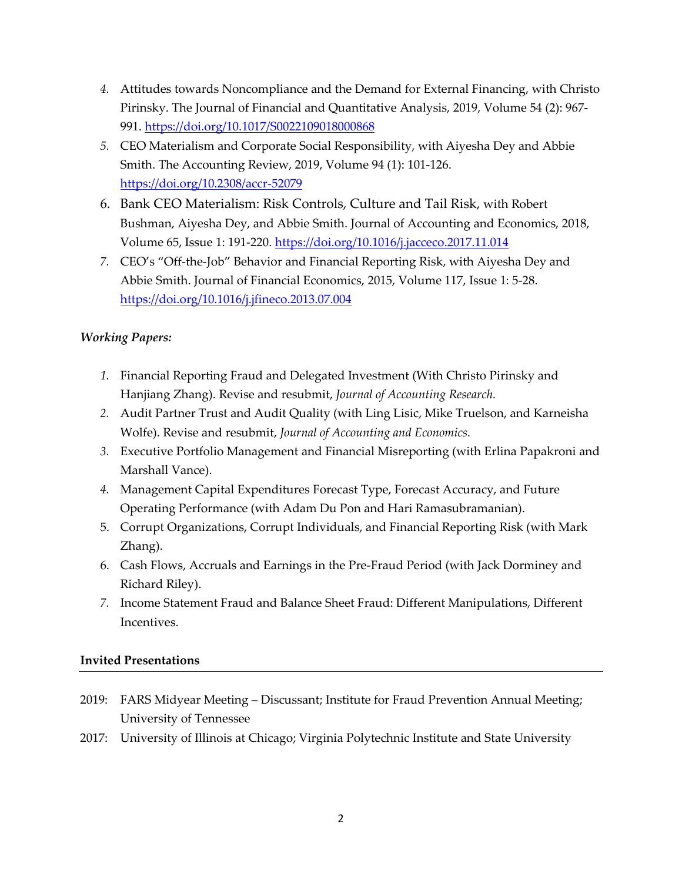- *4.* Attitudes towards Noncompliance and the Demand for External Financing, with Christo Pirinsky. The Journal of Financial and Quantitative Analysis, 2019, Volume 54 (2): 967- 991. <https://doi.org/10.1017/S0022109018000868>
- *5.* CEO Materialism and Corporate Social Responsibility, with Aiyesha Dey and Abbie Smith. The Accounting Review, 2019, Volume 94 (1): 101-126. <https://doi.org/10.2308/accr-52079>
- 6. Bank CEO Materialism: Risk Controls, Culture and Tail Risk, with Robert Bushman, Aiyesha Dey, and Abbie Smith. Journal of Accounting and Economics, 2018, Volume 65, Issue 1: 191-220. <https://doi.org/10.1016/j.jacceco.2017.11.014>
- *7.* CEO's "Off-the-Job" Behavior and Financial Reporting Risk, with Aiyesha Dey and Abbie Smith. Journal of Financial Economics, 2015, Volume 117, Issue 1: 5-28. <https://doi.org/10.1016/j.jfineco.2013.07.004>

# *Working Papers:*

- *1.* Financial Reporting Fraud and Delegated Investment (With Christo Pirinsky and Hanjiang Zhang). Revise and resubmit, *Journal of Accounting Research.*
- *2.* Audit Partner Trust and Audit Quality (with Ling Lisic, Mike Truelson, and Karneisha Wolfe). Revise and resubmit, *Journal of Accounting and Economics.*
- *3.* Executive Portfolio Management and Financial Misreporting (with Erlina Papakroni and Marshall Vance).
- *4.* Management Capital Expenditures Forecast Type, Forecast Accuracy, and Future Operating Performance (with Adam Du Pon and Hari Ramasubramanian).
- 5. Corrupt Organizations, Corrupt Individuals, and Financial Reporting Risk (with Mark Zhang).
- 6. Cash Flows, Accruals and Earnings in the Pre-Fraud Period (with Jack Dorminey and Richard Riley).
- *7.* Income Statement Fraud and Balance Sheet Fraud: Different Manipulations, Different Incentives.

# **Invited Presentations**

- 2019: FARS Midyear Meeting Discussant; Institute for Fraud Prevention Annual Meeting; University of Tennessee
- 2017: University of Illinois at Chicago; Virginia Polytechnic Institute and State University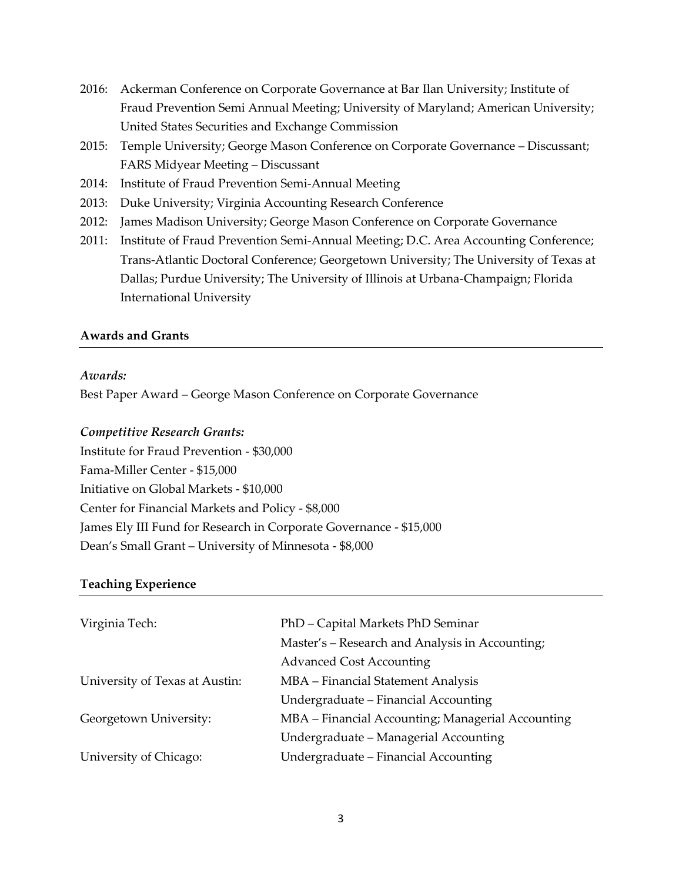- 2016: Ackerman Conference on Corporate Governance at Bar Ilan University; Institute of Fraud Prevention Semi Annual Meeting; University of Maryland; American University; United States Securities and Exchange Commission
- 2015: Temple University; George Mason Conference on Corporate Governance Discussant; FARS Midyear Meeting – Discussant
- 2014: Institute of Fraud Prevention Semi-Annual Meeting
- 2013: Duke University; Virginia Accounting Research Conference
- 2012: James Madison University; George Mason Conference on Corporate Governance
- 2011: Institute of Fraud Prevention Semi-Annual Meeting; D.C. Area Accounting Conference; Trans-Atlantic Doctoral Conference; Georgetown University; The University of Texas at Dallas; Purdue University; The University of Illinois at Urbana-Champaign; Florida International University

## **Awards and Grants**

### *Awards:*

Best Paper Award – George Mason Conference on Corporate Governance

## *Competitive Research Grants:*

Institute for Fraud Prevention - \$30,000 Fama-Miller Center - \$15,000 Initiative on Global Markets - \$10,000 Center for Financial Markets and Policy - \$8,000 James Ely III Fund for Research in Corporate Governance - \$15,000 Dean's Small Grant – University of Minnesota - \$8,000

## **Teaching Experience**

| Virginia Tech:                 | PhD - Capital Markets PhD Seminar                 |
|--------------------------------|---------------------------------------------------|
|                                | Master's - Research and Analysis in Accounting;   |
|                                | <b>Advanced Cost Accounting</b>                   |
| University of Texas at Austin: | MBA - Financial Statement Analysis                |
|                                | Undergraduate – Financial Accounting              |
| Georgetown University:         | MBA – Financial Accounting; Managerial Accounting |
|                                | Undergraduate – Managerial Accounting             |
| University of Chicago:         | Undergraduate – Financial Accounting              |